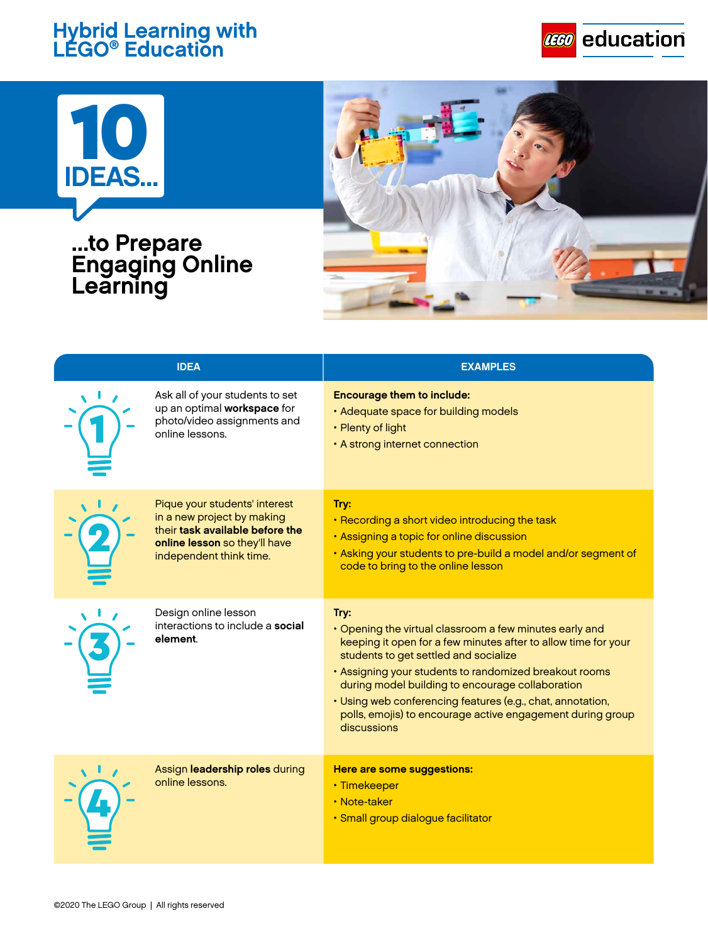## **Hybrid Learning with LEGO® Education**





## **...to Prepare Engaging Online Learning**



| <b>IDEA</b> |                                                                                                                                                            | <b>EXAMPLES</b>                                                                                                                                                                                                                                                                                                                                                                                                                     |
|-------------|------------------------------------------------------------------------------------------------------------------------------------------------------------|-------------------------------------------------------------------------------------------------------------------------------------------------------------------------------------------------------------------------------------------------------------------------------------------------------------------------------------------------------------------------------------------------------------------------------------|
|             | Ask all of your students to set<br>up an optimal workspace for<br>photo/video assignments and<br>online lessons.                                           | <b>Encourage them to include:</b><br>• Adequate space for building models<br>• Plenty of light<br>• A strong internet connection                                                                                                                                                                                                                                                                                                    |
|             | Pique your students' interest<br>in a new project by making<br>their task available before the<br>online lesson so they'll have<br>independent think time. | Try:<br>• Recording a short video introducing the task<br>• Assigning a topic for online discussion<br>. Asking your students to pre-build a model and/or segment of<br>code to bring to the online lesson                                                                                                                                                                                                                          |
|             | Design online lesson<br>interactions to include a social<br>element.                                                                                       | Try:<br>• Opening the virtual classroom a few minutes early and<br>keeping it open for a few minutes after to allow time for your<br>students to get settled and socialize<br>. Assigning your students to randomized breakout rooms<br>during model building to encourage collaboration<br>• Using web conferencing features (e.g., chat, annotation,<br>polls, emojis) to encourage active engagement during group<br>discussions |
|             | Assign leadership roles during<br>online lessons.                                                                                                          | Here are some suggestions:<br>• Timekeeper<br>• Note-taker<br>· Small group dialogue facilitator                                                                                                                                                                                                                                                                                                                                    |